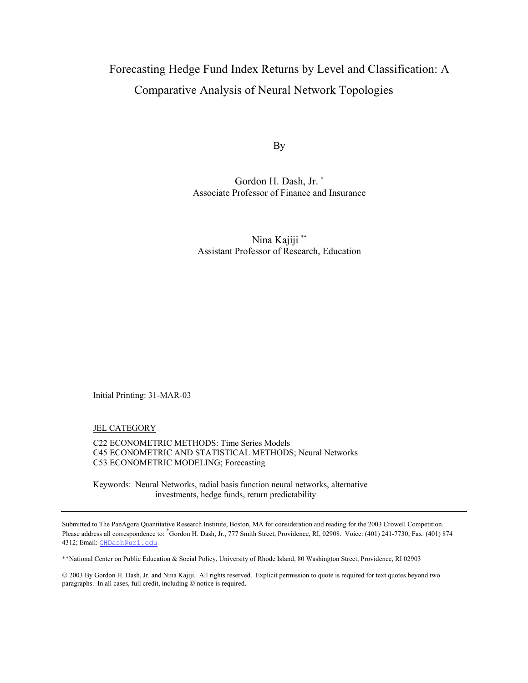# Forecasting Hedge Fund Index Returns by Level and Classification: A Comparative Analysis of Neural Network Topologies

By

Gordon H. Dash, Jr. \* Associate Professor of Finance and Insurance

Nina Kajiji \*\* Assistant Professor of Research, Education

Initial Printing: 31-MAR-03

JEL CATEGORY

C22 ECONOMETRIC METHODS: Time Series Models C45 ECONOMETRIC AND STATISTICAL METHODS; Neural Networks C53 ECONOMETRIC MODELING; Forecasting

Keywords: Neural Networks, radial basis function neural networks, alternative investments, hedge funds, return predictability

\*\*National Center on Public Education & Social Policy, University of Rhode Island, 80 Washington Street, Providence, RI 02903

 2003 By Gordon H. Dash, Jr. and Nina Kajiji. All rights reserved. Explicit permission to quote is required for text quotes beyond two paragraphs. In all cases, full credit, including  $©$  notice is required.

Submitted to The PanAgora Quantitative Research Institute, Boston, MA for consideration and reading for the 2003 Crowell Competition. Please address all correspondence to: Cordon H. Dash, Jr., 777 Smith Street, Providence, RI, 02908. Voice: (401) 241-7730; Fax: (401) 874 4312; Email: [GHDash@uri.edu](mailto:GHDash@uri.edu)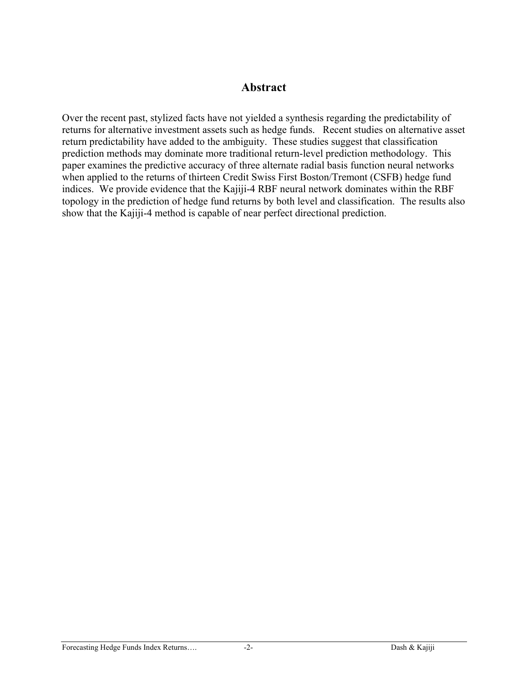### **Abstract**

Over the recent past, stylized facts have not yielded a synthesis regarding the predictability of returns for alternative investment assets such as hedge funds. Recent studies on alternative asset return predictability have added to the ambiguity. These studies suggest that classification prediction methods may dominate more traditional return-level prediction methodology. This paper examines the predictive accuracy of three alternate radial basis function neural networks when applied to the returns of thirteen Credit Swiss First Boston/Tremont (CSFB) hedge fund indices. We provide evidence that the Kajiji-4 RBF neural network dominates within the RBF topology in the prediction of hedge fund returns by both level and classification. The results also show that the Kajiji-4 method is capable of near perfect directional prediction.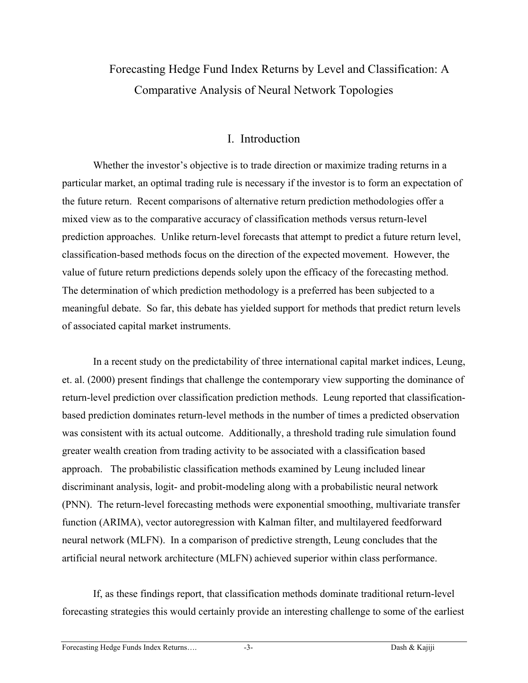# Forecasting Hedge Fund Index Returns by Level and Classification: A Comparative Analysis of Neural Network Topologies

## I. Introduction

Whether the investor's objective is to trade direction or maximize trading returns in a particular market, an optimal trading rule is necessary if the investor is to form an expectation of the future return. Recent comparisons of alternative return prediction methodologies offer a mixed view as to the comparative accuracy of classification methods versus return-level prediction approaches. Unlike return-level forecasts that attempt to predict a future return level, classification-based methods focus on the direction of the expected movement. However, the value of future return predictions depends solely upon the efficacy of the forecasting method. The determination of which prediction methodology is a preferred has been subjected to a meaningful debate. So far, this debate has yielded support for methods that predict return levels of associated capital market instruments.

In a recent study on the predictability of three international capital market indices, Leung, et. al. (2000) present findings that challenge the contemporary view supporting the dominance of return-level prediction over classification prediction methods. Leung reported that classificationbased prediction dominates return-level methods in the number of times a predicted observation was consistent with its actual outcome. Additionally, a threshold trading rule simulation found greater wealth creation from trading activity to be associated with a classification based approach. The probabilistic classification methods examined by Leung included linear discriminant analysis, logit- and probit-modeling along with a probabilistic neural network (PNN). The return-level forecasting methods were exponential smoothing, multivariate transfer function (ARIMA), vector autoregression with Kalman filter, and multilayered feedforward neural network (MLFN). In a comparison of predictive strength, Leung concludes that the artificial neural network architecture (MLFN) achieved superior within class performance.

If, as these findings report, that classification methods dominate traditional return-level forecasting strategies this would certainly provide an interesting challenge to some of the earliest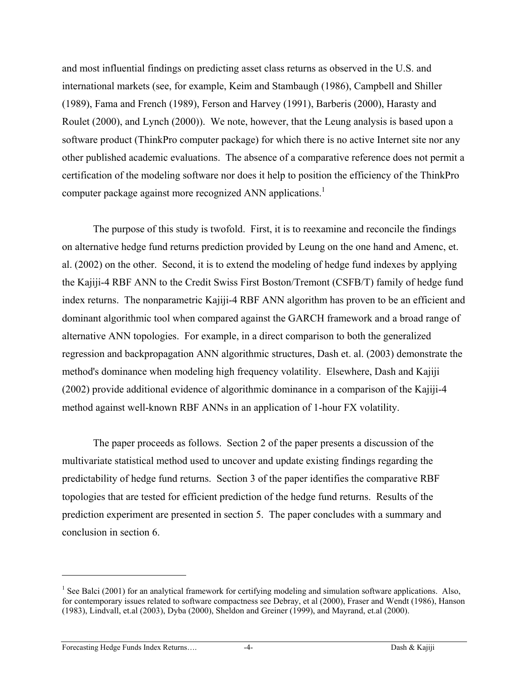and most influential findings on predicting asset class returns as observed in the U.S. and international markets (see, for example, Keim and Stambaugh (1986), Campbell and Shiller (1989), Fama and French (1989), Ferson and Harvey (1991), Barberis (2000), Harasty and Roulet (2000), and Lynch (2000)). We note, however, that the Leung analysis is based upon a software product (ThinkPro computer package) for which there is no active Internet site nor any other published academic evaluations. The absence of a comparative reference does not permit a certification of the modeling software nor does it help to position the efficiency of the ThinkPro computer package against more recognized ANN applications.<sup>[1](#page-3-0)</sup>

The purpose of this study is twofold. First, it is to reexamine and reconcile the findings on alternative hedge fund returns prediction provided by Leung on the one hand and Amenc, et. al. (2002) on the other. Second, it is to extend the modeling of hedge fund indexes by applying the Kajiji-4 RBF ANN to the Credit Swiss First Boston/Tremont (CSFB/T) family of hedge fund index returns. The nonparametric Kajiji-4 RBF ANN algorithm has proven to be an efficient and dominant algorithmic tool when compared against the GARCH framework and a broad range of alternative ANN topologies. For example, in a direct comparison to both the generalized regression and backpropagation ANN algorithmic structures, Dash et. al. (2003) demonstrate the method's dominance when modeling high frequency volatility. Elsewhere, Dash and Kajiji (2002) provide additional evidence of algorithmic dominance in a comparison of the Kajiji-4 method against well-known RBF ANNs in an application of 1-hour FX volatility.

The paper proceeds as follows. Section 2 of the paper presents a discussion of the multivariate statistical method used to uncover and update existing findings regarding the predictability of hedge fund returns. Section 3 of the paper identifies the comparative RBF topologies that are tested for efficient prediction of the hedge fund returns. Results of the prediction experiment are presented in section 5. The paper concludes with a summary and conclusion in section 6.

 $\overline{a}$ 

<span id="page-3-0"></span><sup>&</sup>lt;sup>1</sup> See Balci (2001) for an analytical framework for certifying modeling and simulation software applications. Also, for contemporary issues related to software compactness see Debray, et al (2000), Fraser and Wendt (1986), Hanson (1983), Lindvall, et.al (2003), Dyba (2000), Sheldon and Greiner (1999), and Mayrand, et.al (2000).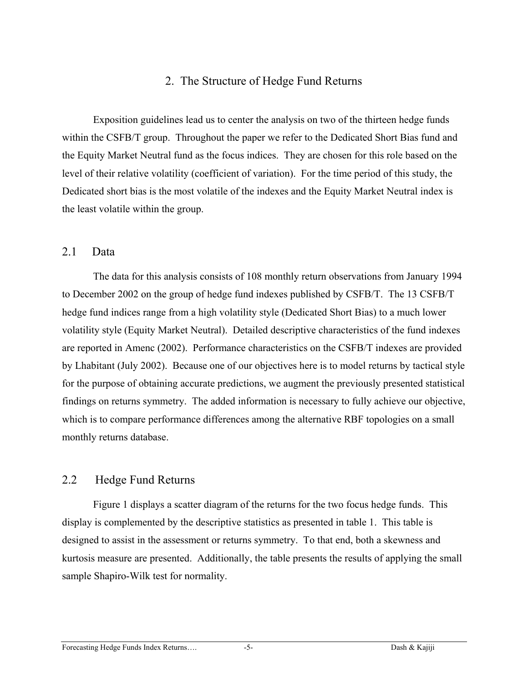### 2. The Structure of Hedge Fund Returns

Exposition guidelines lead us to center the analysis on two of the thirteen hedge funds within the CSFB/T group. Throughout the paper we refer to the Dedicated Short Bias fund and the Equity Market Neutral fund as the focus indices. They are chosen for this role based on the level of their relative volatility (coefficient of variation). For the time period of this study, the Dedicated short bias is the most volatile of the indexes and the Equity Market Neutral index is the least volatile within the group.

#### 2.1 Data

The data for this analysis consists of 108 monthly return observations from January 1994 to December 2002 on the group of hedge fund indexes published by CSFB/T. The 13 CSFB/T hedge fund indices range from a high volatility style (Dedicated Short Bias) to a much lower volatility style (Equity Market Neutral). Detailed descriptive characteristics of the fund indexes are reported in Amenc (2002). Performance characteristics on the CSFB/T indexes are provided by Lhabitant (July 2002). Because one of our objectives here is to model returns by tactical style for the purpose of obtaining accurate predictions, we augment the previously presented statistical findings on returns symmetry. The added information is necessary to fully achieve our objective, which is to compare performance differences among the alternative RBF topologies on a small monthly returns database.

### 2.2 Hedge Fund Returns

Figure 1 displays a scatter diagram of the returns for the two focus hedge funds. This display is complemented by the descriptive statistics as presented in table 1. This table is designed to assist in the assessment or returns symmetry. To that end, both a skewness and kurtosis measure are presented. Additionally, the table presents the results of applying the small sample Shapiro-Wilk test for normality.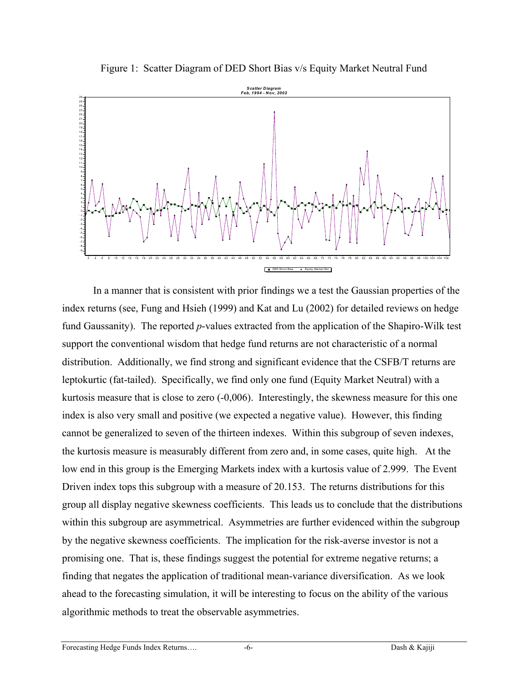Figure 1: Scatter Diagram of DED Short Bias v/s Equity Market Neutral Fund



In a manner that is consistent with prior findings we a test the Gaussian properties of the index returns (see, Fung and Hsieh (1999) and Kat and Lu (2002) for detailed reviews on hedge fund Gaussanity). The reported *p*-values extracted from the application of the Shapiro-Wilk test support the conventional wisdom that hedge fund returns are not characteristic of a normal distribution. Additionally, we find strong and significant evidence that the CSFB/T returns are leptokurtic (fat-tailed). Specifically, we find only one fund (Equity Market Neutral) with a kurtosis measure that is close to zero (-0,006). Interestingly, the skewness measure for this one index is also very small and positive (we expected a negative value). However, this finding cannot be generalized to seven of the thirteen indexes. Within this subgroup of seven indexes, the kurtosis measure is measurably different from zero and, in some cases, quite high. At the low end in this group is the Emerging Markets index with a kurtosis value of 2.999. The Event Driven index tops this subgroup with a measure of 20.153. The returns distributions for this group all display negative skewness coefficients. This leads us to conclude that the distributions within this subgroup are asymmetrical. Asymmetries are further evidenced within the subgroup by the negative skewness coefficients. The implication for the risk-averse investor is not a promising one. That is, these findings suggest the potential for extreme negative returns; a finding that negates the application of traditional mean-variance diversification. As we look ahead to the forecasting simulation, it will be interesting to focus on the ability of the various algorithmic methods to treat the observable asymmetries.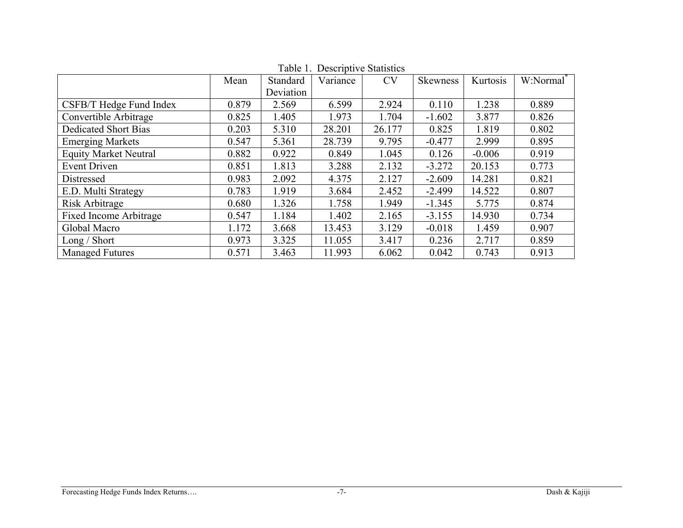|                               | Mean  | Standard  | rable 1. Descriptive blansites<br>Variance | <b>CV</b> | Skewness | Kurtosis | W:Normal <sup>*</sup> |
|-------------------------------|-------|-----------|--------------------------------------------|-----------|----------|----------|-----------------------|
|                               |       | Deviation |                                            |           |          |          |                       |
| CSFB/T Hedge Fund Index       | 0.879 | 2.569     | 6.599                                      | 2.924     | 0.110    | 1.238    | 0.889                 |
| Convertible Arbitrage         | 0.825 | 1.405     | 1.973                                      | 1.704     | $-1.602$ | 3.877    | 0.826                 |
| <b>Dedicated Short Bias</b>   | 0.203 | 5.310     | 28.201                                     | 26.177    | 0.825    | 1.819    | 0.802                 |
| <b>Emerging Markets</b>       | 0.547 | 5.361     | 28.739                                     | 9.795     | $-0.477$ | 2.999    | 0.895                 |
| <b>Equity Market Neutral</b>  | 0.882 | 0.922     | 0.849                                      | 1.045     | 0.126    | $-0.006$ | 0.919                 |
| <b>Event Driven</b>           | 0.851 | 1.813     | 3.288                                      | 2.132     | $-3.272$ | 20.153   | 0.773                 |
| Distressed                    | 0.983 | 2.092     | 4.375                                      | 2.127     | $-2.609$ | 14.281   | 0.821                 |
| E.D. Multi Strategy           | 0.783 | 1.919     | 3.684                                      | 2.452     | $-2.499$ | 14.522   | 0.807                 |
| Risk Arbitrage                | 0.680 | 1.326     | 1.758                                      | 1.949     | $-1.345$ | 5.775    | 0.874                 |
| <b>Fixed Income Arbitrage</b> | 0.547 | 1.184     | 1.402                                      | 2.165     | $-3.155$ | 14.930   | 0.734                 |
| Global Macro                  | 1.172 | 3.668     | 13.453                                     | 3.129     | $-0.018$ | 1.459    | 0.907                 |
| Long / Short                  | 0.973 | 3.325     | 11.055                                     | 3.417     | 0.236    | 2.717    | 0.859                 |
| <b>Managed Futures</b>        | 0.571 | 3.463     | 11.993                                     | 6.062     | 0.042    | 0.743    | 0.913                 |

Table 1. Descriptive Statistics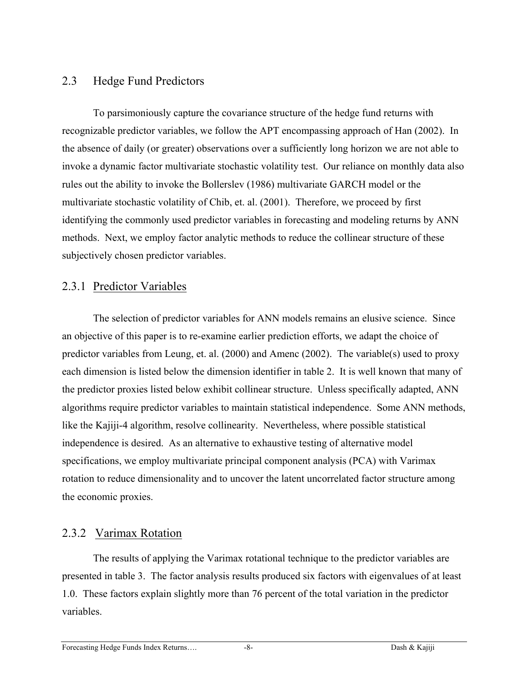### 2.3 Hedge Fund Predictors

To parsimoniously capture the covariance structure of the hedge fund returns with recognizable predictor variables, we follow the APT encompassing approach of Han (2002). In the absence of daily (or greater) observations over a sufficiently long horizon we are not able to invoke a dynamic factor multivariate stochastic volatility test. Our reliance on monthly data also rules out the ability to invoke the Bollerslev (1986) multivariate GARCH model or the multivariate stochastic volatility of Chib, et. al. (2001). Therefore, we proceed by first identifying the commonly used predictor variables in forecasting and modeling returns by ANN methods. Next, we employ factor analytic methods to reduce the collinear structure of these subjectively chosen predictor variables.

### 2.3.1 Predictor Variables

The selection of predictor variables for ANN models remains an elusive science. Since an objective of this paper is to re-examine earlier prediction efforts, we adapt the choice of predictor variables from Leung, et. al. (2000) and Amenc (2002). The variable(s) used to proxy each dimension is listed below the dimension identifier in table 2. It is well known that many of the predictor proxies listed below exhibit collinear structure. Unless specifically adapted, ANN algorithms require predictor variables to maintain statistical independence. Some ANN methods, like the Kajiji-4 algorithm, resolve collinearity. Nevertheless, where possible statistical independence is desired. As an alternative to exhaustive testing of alternative model specifications, we employ multivariate principal component analysis (PCA) with Varimax rotation to reduce dimensionality and to uncover the latent uncorrelated factor structure among the economic proxies.

### 2.3.2 Varimax Rotation

The results of applying the Varimax rotational technique to the predictor variables are presented in table 3. The factor analysis results produced six factors with eigenvalues of at least 1.0. These factors explain slightly more than 76 percent of the total variation in the predictor variables.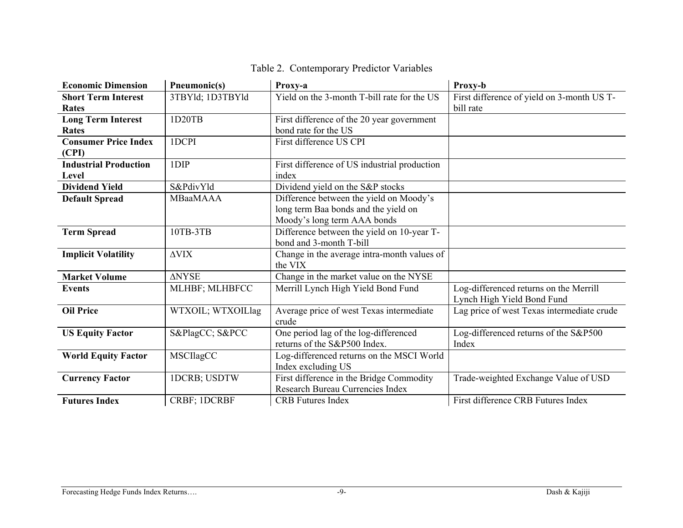| <b>Economic Dimension</b>    | Pneumonic(s)        | Proxy-a                                      | Proxy-b                                    |
|------------------------------|---------------------|----------------------------------------------|--------------------------------------------|
| <b>Short Term Interest</b>   | 3TBYld; 1D3TBYld    | Yield on the 3-month T-bill rate for the US  | First difference of yield on 3-month US T- |
| <b>Rates</b>                 |                     |                                              | bill rate                                  |
| <b>Long Term Interest</b>    | 1D20TB              | First difference of the 20 year government   |                                            |
| <b>Rates</b>                 |                     | bond rate for the US                         |                                            |
| <b>Consumer Price Index</b>  | 1DCPI               | First difference US CPI                      |                                            |
| (CPI)                        |                     |                                              |                                            |
| <b>Industrial Production</b> | 1DIP                | First difference of US industrial production |                                            |
| Level                        |                     | index                                        |                                            |
| <b>Dividend Yield</b>        | S&PdivYld           | Dividend yield on the S&P stocks             |                                            |
| <b>Default Spread</b>        | <b>MBaaMAAA</b>     | Difference between the yield on Moody's      |                                            |
|                              |                     | long term Baa bonds and the yield on         |                                            |
|                              |                     | Moody's long term AAA bonds                  |                                            |
| <b>Term Spread</b>           | 10TB-3TB            | Difference between the yield on 10-year T-   |                                            |
|                              |                     | bond and 3-month T-bill                      |                                            |
| <b>Implicit Volatility</b>   | $\Delta \text{VIX}$ | Change in the average intra-month values of  |                                            |
|                              |                     | the VIX                                      |                                            |
| <b>Market Volume</b>         | <b>ANYSE</b>        | Change in the market value on the NYSE       |                                            |
| <b>Events</b>                | MLHBF; MLHBFCC      | Merrill Lynch High Yield Bond Fund           | Log-differenced returns on the Merrill     |
|                              |                     |                                              | Lynch High Yield Bond Fund                 |
| <b>Oil Price</b>             | WTXOIL; WTXOILlag   | Average price of west Texas intermediate     | Lag price of west Texas intermediate crude |
|                              |                     | crude                                        |                                            |
| <b>US Equity Factor</b>      | S&PlagCC S&PCC      | One period lag of the log-differenced        | Log-differenced returns of the S&P500      |
|                              |                     | returns of the S&P500 Index.                 | Index                                      |
| <b>World Equity Factor</b>   | <b>MSCIlagCC</b>    | Log-differenced returns on the MSCI World    |                                            |
|                              |                     | Index excluding US                           |                                            |
| <b>Currency Factor</b>       | <b>IDCRB; USDTW</b> | First difference in the Bridge Commodity     | Trade-weighted Exchange Value of USD       |
|                              |                     | Research Bureau Currencies Index             |                                            |
| <b>Futures Index</b>         | CRBF; 1DCRBF        | <b>CRB</b> Futures Index                     | First difference CRB Futures Index         |

## Table 2. Contemporary Predictor Variables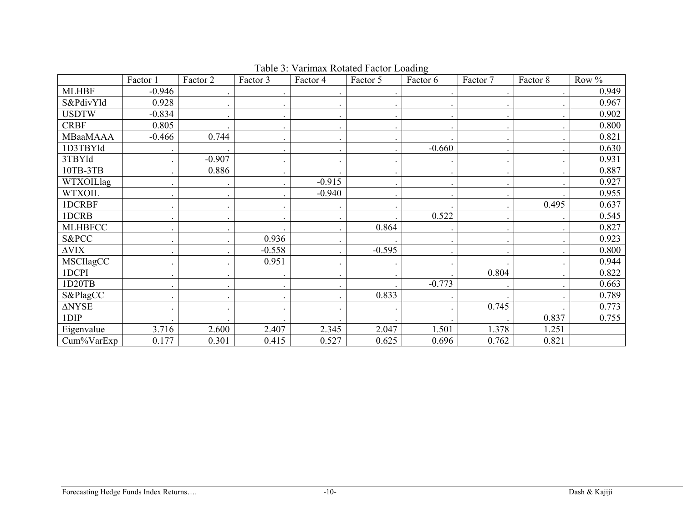|                      | Factor 1 | Factor 2 | Factor 3 | Factor 4 | Factor 5 | Factor 6 | Factor 7 | Factor 8                 | Row % |
|----------------------|----------|----------|----------|----------|----------|----------|----------|--------------------------|-------|
| <b>MLHBF</b>         | $-0.946$ |          |          |          |          |          |          |                          | 0.949 |
| S&PdivYld            | 0.928    |          |          |          |          |          |          |                          | 0.967 |
| <b>USDTW</b>         | $-0.834$ |          |          |          |          |          |          |                          | 0.902 |
| <b>CRBF</b>          | 0.805    |          |          |          |          |          |          |                          | 0.800 |
| MBaaMAAA             | $-0.466$ | 0.744    |          |          |          |          |          |                          | 0.821 |
| 1D3TBYld             |          |          |          |          |          | $-0.660$ |          | $\overline{\phantom{a}}$ | 0.630 |
| 3TBYld               |          | $-0.907$ |          |          |          |          |          |                          | 0.931 |
| 10TB-3TB             |          | 0.886    |          |          |          |          |          |                          | 0.887 |
| WTXOILlag            |          |          |          | $-0.915$ |          |          |          |                          | 0.927 |
| <b>WTXOIL</b>        |          |          |          | $-0.940$ |          |          |          |                          | 0.955 |
| 1DCRBF               |          |          |          |          |          |          |          | 0.495                    | 0.637 |
| 1DCRB                |          |          |          |          |          | 0.522    |          |                          | 0.545 |
| <b>MLHBFCC</b>       |          |          |          |          | 0.864    |          |          |                          | 0.827 |
| S&PCC                |          |          | 0.936    |          |          |          |          |                          | 0.923 |
| $\Delta \text{VIX}$  |          |          | $-0.558$ |          | $-0.595$ |          |          |                          | 0.800 |
| MSCIlagCC            |          |          | 0.951    |          |          |          |          |                          | 0.944 |
| 1DCPI                |          |          |          |          |          |          | 0.804    |                          | 0.822 |
| 1D20TB               |          |          |          |          |          | $-0.773$ |          |                          | 0.663 |
| S&PlagCC             |          |          |          |          | 0.833    |          |          |                          | 0.789 |
| $\Delta \text{NYSE}$ |          |          |          |          |          |          | 0.745    |                          | 0.773 |
| $1$ DIP              |          |          |          |          |          |          |          | 0.837                    | 0.755 |
| Eigenvalue           | 3.716    | 2.600    | 2.407    | 2.345    | 2.047    | 1.501    | 1.378    | 1.251                    |       |
| Cum%VarExp           | 0.177    | 0.301    | 0.415    | 0.527    | 0.625    | 0.696    | 0.762    | 0.821                    |       |

Table 3: Varimax Rotated Factor Loading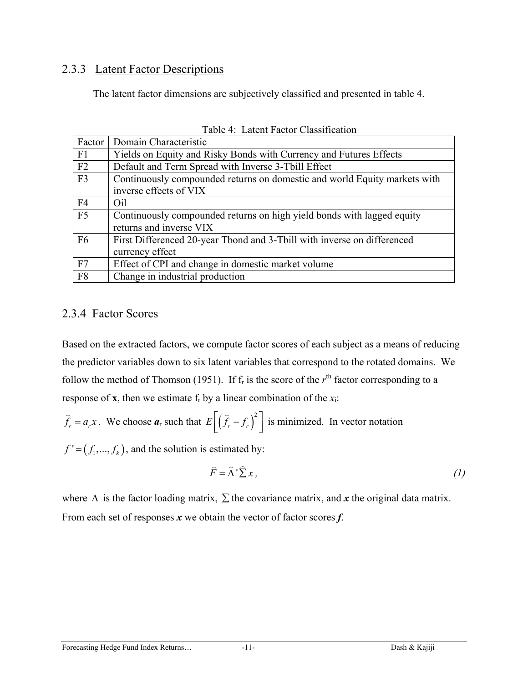### 2.3.3 Latent Factor Descriptions

The latent factor dimensions are subjectively classified and presented in table 4.

|                | Factor   Domain Characteristic                                            |
|----------------|---------------------------------------------------------------------------|
| F1             | Yields on Equity and Risky Bonds with Currency and Futures Effects        |
| F2             | Default and Term Spread with Inverse 3-Tbill Effect                       |
| F <sub>3</sub> | Continuously compounded returns on domestic and world Equity markets with |
|                | inverse effects of VIX                                                    |
| F <sub>4</sub> | Oil                                                                       |
| F5             | Continuously compounded returns on high yield bonds with lagged equity    |
|                | returns and inverse VIX                                                   |
| F <sub>6</sub> | First Differenced 20-year Tbond and 3-Tbill with inverse on differenced   |
|                | currency effect                                                           |
| F7             | Effect of CPI and change in domestic market volume                        |
| F <sub>8</sub> | Change in industrial production                                           |

Table 4: Latent Factor Classification

### 2.3.4 Factor Scores

Based on the extracted factors, we compute factor scores of each subject as a means of reducing the predictor variables down to six latent variables that correspond to the rotated domains. We follow the method of Thomson (1951). If  $f_r$  is the score of the  $r<sup>th</sup>$  factor corresponding to a response of **x**, then we estimate  $f_r$  by a linear combination of the  $x_i$ :

$$
\hat{f}_r = a_r x
$$
. We choose  $a_r$  such that  $E\left[\left(\hat{f}_r - f_r\right)^2\right]$  is minimized. In vector notation

 $f' = (f_1, ..., f_k)$ , and the solution is estimated by:

$$
\widehat{F} = \widehat{\Lambda}^{\dagger} \widehat{\Sigma} x, \tag{1}
$$

where  $\Lambda$  is the factor loading matrix,  $\Sigma$  the covariance matrix, and x the original data matrix. From each set of responses *x* we obtain the vector of factor scores *f*.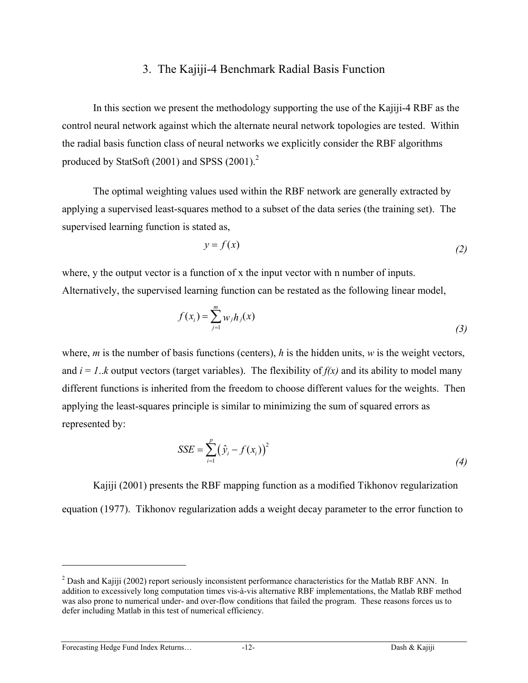#### 3. The Kajiji-4 Benchmark Radial Basis Function

In this section we present the methodology supporting the use of the Kajiji-4 RBF as the control neural network against which the alternate neural network topologies are tested. Within the radial basis function class of neural networks we explicitly consider the RBF algorithms produced by StatSoft  $(2001)$  $(2001)$  $(2001)$  and SPSS  $(2001)$ .<sup>2</sup>

The optimal weighting values used within the RBF network are generally extracted by applying a supervised least-squares method to a subset of the data series (the training set). The supervised learning function is stated as,

$$
y = f(x) \tag{2}
$$

where, y the output vector is a function of x the input vector with n number of inputs. Alternatively, the supervised learning function can be restated as the following linear model,

$$
f(x_i) = \sum_{j=1}^{m} w_j h_j(x)
$$
 (3)

where, *m* is the number of basis functions (centers), *h* is the hidden units, *w* is the weight vectors, and  $i = 1..k$  output vectors (target variables). The flexibility of  $f(x)$  and its ability to model many different functions is inherited from the freedom to choose different values for the weights. Then applying the least-squares principle is similar to minimizing the sum of squared errors as represented by:

$$
SSE = \sum_{i=1}^{p} (\hat{y}_i - f(x_i))^2
$$
 (4)

Kajiji (2001) presents the RBF mapping function as a modified Tikhonov regularization equation (1977). Tikhonov regularization adds a weight decay parameter to the error function to

Forecasting Hedge Fund Index Returns… -12- Dash & Kajiji

1

<span id="page-11-0"></span> $2^{2}$  Dash and Kajiji (2002) report seriously inconsistent performance characteristics for the Matlab RBF ANN. In addition to excessively long computation times vis-à-vis alternative RBF implementations, the Matlab RBF method was also prone to numerical under- and over-flow conditions that failed the program. These reasons forces us to defer including Matlab in this test of numerical efficiency.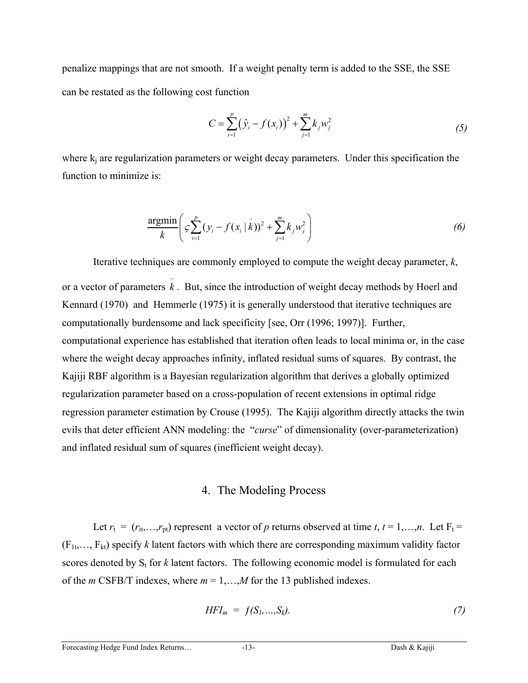penalize mappings that are not smooth. If a weight penalty term is added to the SSE, the SSE can be restated as the following cost function

$$
C = \sum_{i=1}^{p} (\hat{y}_i - f(x_i))^2 + \sum_{j=1}^{m} k_j w_j^2
$$
 (5)

where  $k_i$  are regularization parameters or weight decay parameters. Under this specification the function to minimize is:

$$
\frac{\text{argmin}}{k} \left( \varsigma \sum_{i=1}^{p} (y_i - f(x_i \mid \bar{k}))^2 + \sum_{j=1}^{m} k_j w_j^2 \right) \tag{6}
$$

Iterative techniques are commonly employed to compute the weight decay parameter, *k*, or a vector of parameters  $\overline{k}$ . But, since the introduction of weight decay methods by Hoerl and Kennard (1970) and Hemmerle (1975) it is generally understood that iterative techniques are computationally burdensome and lack specificity [see, Orr (1996; 1997)]. Further, computational experience has established that iteration often leads to local minima or, in the case where the weight decay approaches infinity, inflated residual sums of squares. By contrast, the Kajiji RBF algorithm is a Bayesian regularization algorithm that derives a globally optimized regularization parameter based on a cross-population of recent extensions in optimal ridge regression parameter estimation by Crouse (1995). The Kajiji algorithm directly attacks the twin evils that deter efficient ANN modeling: the "*curse*" of dimensionality (over-parameterization) and inflated residual sum of squares (inefficient weight decay).

#### 4. The Modeling Process

Let  $r_t = (r_{it}, \ldots, r_{pt})$  represent a vector of *p* returns observed at time *t*,  $t = 1, \ldots, n$ . Let  $F_t =$  $(F_{1t},..., F_{kt})$  specify *k* latent factors with which there are corresponding maximum validity factor scores denoted by  $S_t$  for  $k$  latent factors. The following economic model is formulated for each of the *m* CSFB/T indexes, where *m* = 1,…,*M* for the 13 published indexes.

$$
HFI_m = f(S_1, ..., S_k). \tag{7}
$$

#### Forecasting Hedge Fund Index Returns… -13- 13- Dash & Kajiji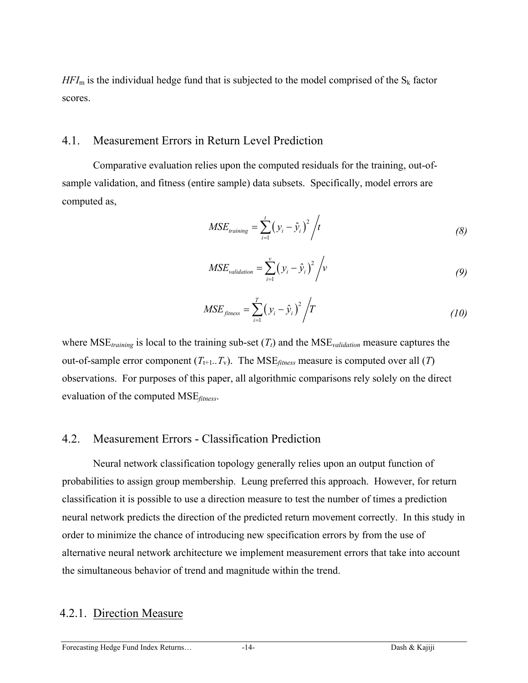$HFI<sub>m</sub>$  is the individual hedge fund that is subjected to the model comprised of the  $S<sub>k</sub>$  factor scores.

#### 4.1. Measurement Errors in Return Level Prediction

Comparative evaluation relies upon the computed residuals for the training, out-ofsample validation, and fitness (entire sample) data subsets. Specifically, model errors are computed as,

$$
MSE_{training} = \sum_{i=1}^{t} (y_i - \hat{y}_i)^2 / t
$$
 (8)

$$
MSE_{validation} = \sum_{i=1}^{v} (y_i - \hat{y}_i)^2 / v
$$
 (9)

$$
MSE_{\text{fitness}} = \sum_{i=1}^{T} (y_i - \hat{y}_i)^2 / T
$$
 (10)

where  $MSE_{training}$  is local to the training sub-set  $(T_t)$  and the  $MSE_{validation}$  measure captures the out-of-sample error component  $(T_{t+1}$ ... $T_v$ ). The MSE<sub>fitness</sub> measure is computed over all (*T*) observations. For purposes of this paper, all algorithmic comparisons rely solely on the direct evaluation of the computed MSE*fitness*.

#### 4.2. Measurement Errors - Classification Prediction

Neural network classification topology generally relies upon an output function of probabilities to assign group membership. Leung preferred this approach. However, for return classification it is possible to use a direction measure to test the number of times a prediction neural network predicts the direction of the predicted return movement correctly. In this study in order to minimize the chance of introducing new specification errors by from the use of alternative neural network architecture we implement measurement errors that take into account the simultaneous behavior of trend and magnitude within the trend.

#### 4.2.1. Direction Measure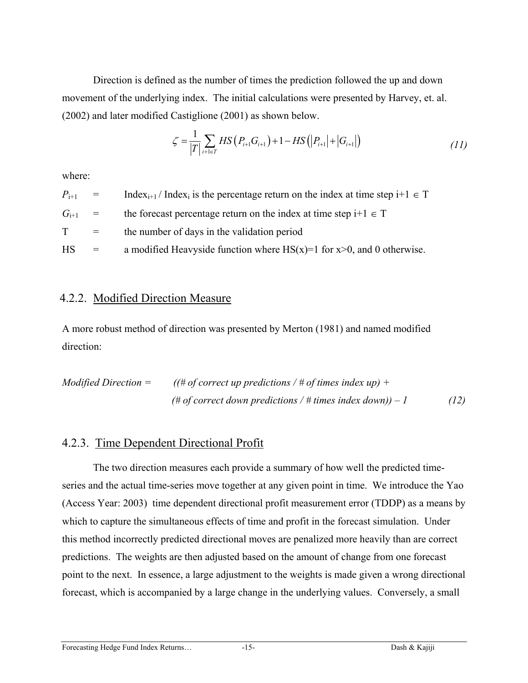Direction is defined as the number of times the prediction followed the up and down movement of the underlying index. The initial calculations were presented by Harvey, et. al. (2002) and later modified Castiglione (2001) as shown below.

$$
\zeta = \frac{1}{|T|} \sum_{i+1 \in T} HS(P_{i+1} G_{i+1}) + 1 - HS(|P_{i+1}| + |G_{i+1}|)
$$
\n(11)

where:

 $P_{i+1}$  = Index<sub>i+1</sub> / Index<sub>i</sub> is the percentage return on the index at time step i+1  $\in$  T  $G_{i+1}$  = the forecast percentage return on the index at time step i+1  $\in$  T  $T =$  the number of days in the validation period HS  $=$  a modified Heavyside function where HS(x)=1 for x>0, and 0 otherwise.

### 4.2.2. Modified Direction Measure

A more robust method of direction was presented by Merton (1981) and named modified direction:

Modified Direction =

\n
$$
((\# of correct up predictions / \# of times index up) +
$$
\n
$$
(\# of correct down predictions / \# times index down)) - 1
$$
\n
$$
(12)
$$

### 4.2.3. Time Dependent Directional Profit

The two direction measures each provide a summary of how well the predicted timeseries and the actual time-series move together at any given point in time. We introduce the Yao (Access Year: 2003) time dependent directional profit measurement error (TDDP) as a means by which to capture the simultaneous effects of time and profit in the forecast simulation. Under this method incorrectly predicted directional moves are penalized more heavily than are correct predictions. The weights are then adjusted based on the amount of change from one forecast point to the next. In essence, a large adjustment to the weights is made given a wrong directional forecast, which is accompanied by a large change in the underlying values. Conversely, a small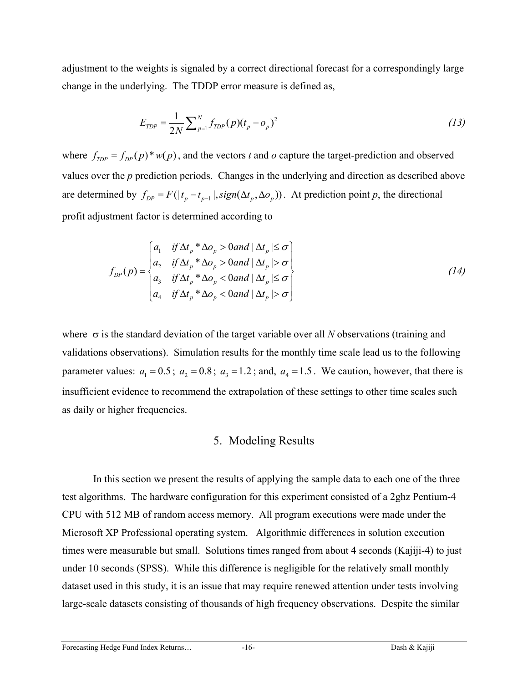adjustment to the weights is signaled by a correct directional forecast for a correspondingly large change in the underlying. The TDDP error measure is defined as,

$$
E_{TDP} = \frac{1}{2N} \sum_{p=1}^{N} f_{TDP}(p) (t_p - o_p)^2
$$
 (13)

where  $f_{\text{TDP}} = f_{\text{DP}}(p) * w(p)$ , and the vectors *t* and *o* capture the target-prediction and observed are determined by  $f_{DP} = F(|t_p - t_{p-1}|, sign(\Delta t_p, \Delta o_p))$ . At prediction point *p*, the directional values over the *p* prediction periods. Changes in the underlying and direction as described above profit adjustment factor is determined according to

$$
f_{DP}(p) = \begin{cases} a_1 & \text{if } \Delta t_p * \Delta o_p > 0 \text{ and } |\Delta t_p| \le \sigma \\ a_2 & \text{if } \Delta t_p * \Delta o_p > 0 \text{ and } |\Delta t_p| > \sigma \\ a_3 & \text{if } \Delta t_p * \Delta o_p < 0 \text{ and } |\Delta t_p| \le \sigma \\ a_4 & \text{if } \Delta t_p * \Delta o_p < 0 \text{ and } |\Delta t_p| > \sigma \end{cases}
$$
(14)

where  $\sigma$  is the standard deviation of the target variable over all *N* observations (training and validations observations). Simulation results for the monthly time scale lead us to the following parameter values:  $a_1 = 0.5$ ;  $a_2 = 0.8$ ;  $a_3 = 1.2$ ; and,  $a_4 = 1.5$ . We caution, however, that there is insufficient evidence to recommend the extrapolation of these settings to other time scales such as daily or higher frequencies.

#### 5. Modeling Results

In this section we present the results of applying the sample data to each one of the three test algorithms. The hardware configuration for this experiment consisted of a 2ghz Pentium-4 CPU with 512 MB of random access memory. All program executions were made under the Microsoft XP Professional operating system. Algorithmic differences in solution execution times were measurable but small. Solutions times ranged from about 4 seconds (Kajiji-4) to just under 10 seconds (SPSS). While this difference is negligible for the relatively small monthly dataset used in this study, it is an issue that may require renewed attention under tests involving large-scale datasets consisting of thousands of high frequency observations. Despite the similar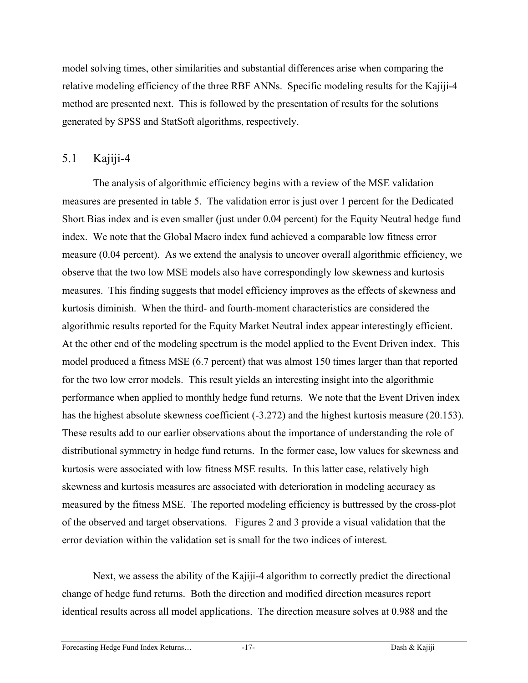model solving times, other similarities and substantial differences arise when comparing the relative modeling efficiency of the three RBF ANNs. Specific modeling results for the Kajiji-4 method are presented next. This is followed by the presentation of results for the solutions generated by SPSS and StatSoft algorithms, respectively.

### 5.1 Kajiji-4

The analysis of algorithmic efficiency begins with a review of the MSE validation measures are presented in table 5. The validation error is just over 1 percent for the Dedicated Short Bias index and is even smaller (just under 0.04 percent) for the Equity Neutral hedge fund index. We note that the Global Macro index fund achieved a comparable low fitness error measure (0.04 percent). As we extend the analysis to uncover overall algorithmic efficiency, we observe that the two low MSE models also have correspondingly low skewness and kurtosis measures. This finding suggests that model efficiency improves as the effects of skewness and kurtosis diminish. When the third- and fourth-moment characteristics are considered the algorithmic results reported for the Equity Market Neutral index appear interestingly efficient. At the other end of the modeling spectrum is the model applied to the Event Driven index. This model produced a fitness MSE (6.7 percent) that was almost 150 times larger than that reported for the two low error models. This result yields an interesting insight into the algorithmic performance when applied to monthly hedge fund returns. We note that the Event Driven index has the highest absolute skewness coefficient (-3.272) and the highest kurtosis measure (20.153). These results add to our earlier observations about the importance of understanding the role of distributional symmetry in hedge fund returns. In the former case, low values for skewness and kurtosis were associated with low fitness MSE results. In this latter case, relatively high skewness and kurtosis measures are associated with deterioration in modeling accuracy as measured by the fitness MSE. The reported modeling efficiency is buttressed by the cross-plot of the observed and target observations. Figures 2 and 3 provide a visual validation that the error deviation within the validation set is small for the two indices of interest.

Next, we assess the ability of the Kajiji-4 algorithm to correctly predict the directional change of hedge fund returns. Both the direction and modified direction measures report identical results across all model applications. The direction measure solves at 0.988 and the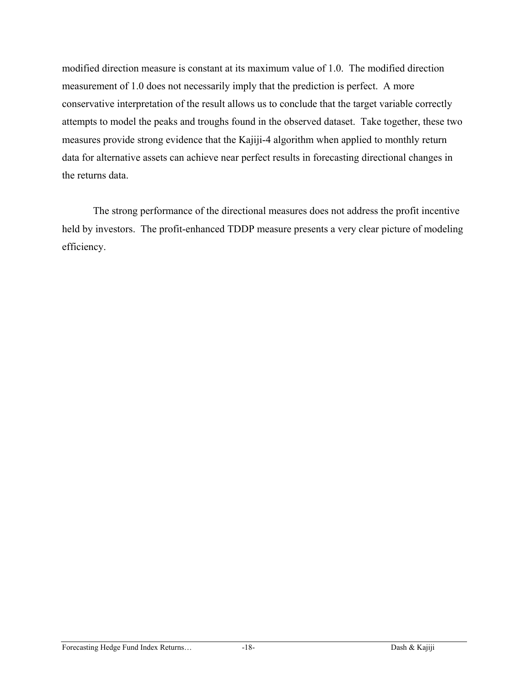modified direction measure is constant at its maximum value of 1.0. The modified direction measurement of 1.0 does not necessarily imply that the prediction is perfect. A more conservative interpretation of the result allows us to conclude that the target variable correctly attempts to model the peaks and troughs found in the observed dataset. Take together, these two measures provide strong evidence that the Kajiji-4 algorithm when applied to monthly return data for alternative assets can achieve near perfect results in forecasting directional changes in the returns data.

The strong performance of the directional measures does not address the profit incentive held by investors. The profit-enhanced TDDP measure presents a very clear picture of modeling efficiency.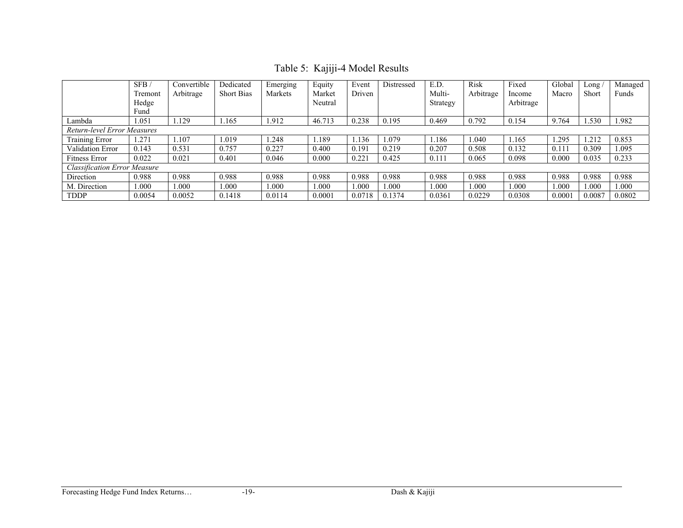|  | Table 5: Kajiji-4 Model Results |
|--|---------------------------------|
|--|---------------------------------|

|                                    | SFB/<br>Tremont<br>Hedge<br>Fund | Convertible<br>Arbitrage | Dedicated<br><b>Short Bias</b> | Emerging<br>Markets | Equity<br>Market<br>Neutral | Event<br>Driven | Distressed | E.D.<br>Multi-<br>Strategy | Risk<br>Arbitrage | Fixed<br>Income<br>Arbitrage | Global<br>Macro | $\text{Long} /$<br>Short | Managed<br>Funds |
|------------------------------------|----------------------------------|--------------------------|--------------------------------|---------------------|-----------------------------|-----------------|------------|----------------------------|-------------------|------------------------------|-----------------|--------------------------|------------------|
| Lambda                             | L.051                            | .129                     | .165                           | 1.912               | 46.713                      | 0.238           | 0.195      | 0.469                      | 0.792             | 0.154                        | 9.764           | .530                     | 1.982            |
| <b>Return-level Error Measures</b> |                                  |                          |                                |                     |                             |                 |            |                            |                   |                              |                 |                          |                  |
| <b>Training Error</b>              | .27                              | .107                     | .019                           | .248                | .189                        | . 136           | 1.079      | 1.186                      | 1.040             | 1.165                        | .295            | .212                     | 0.853            |
| Validation Error                   | 0.143                            | 0.531                    | 0.757                          | 0.227               | 0.400                       | 0.191           | 0.219      | 0.207                      | 0.508             | 0.132                        | 0.11            | 0.309                    | 1.095            |
| Fitness Error                      | 0.022                            | 0.021                    | 0.401                          | 0.046               | 0.000                       | 0.221           | 0.425      | 0.111                      | 0.065             | 0.098                        | 0.000           | 0.035                    | 0.233            |
| Classification Error Measure       |                                  |                          |                                |                     |                             |                 |            |                            |                   |                              |                 |                          |                  |
| Direction                          | 0.988                            | 0.988                    | 0.988                          | 0.988               | 0.988                       | 0.988           | 0.988      | 0.988                      | 0.988             | 0.988                        | 0.988           | 0.988                    | 0.988            |
| M. Direction                       | .000                             | .000                     | .000                           | 1.000               | .000                        | 1.000           | .000       | 1.000                      | 1.000             | 1.000                        | $000$ .         | .000                     | 1.000            |
| <b>TDDP</b>                        | 0.0054                           | 0.0052                   | 0.1418                         | 0.0114              | 0.0001                      | 0.0718          | 0.1374     | 0.0361                     | 0.0229            | 0.0308                       | 0.0001          | 0.0087                   | 0.0802           |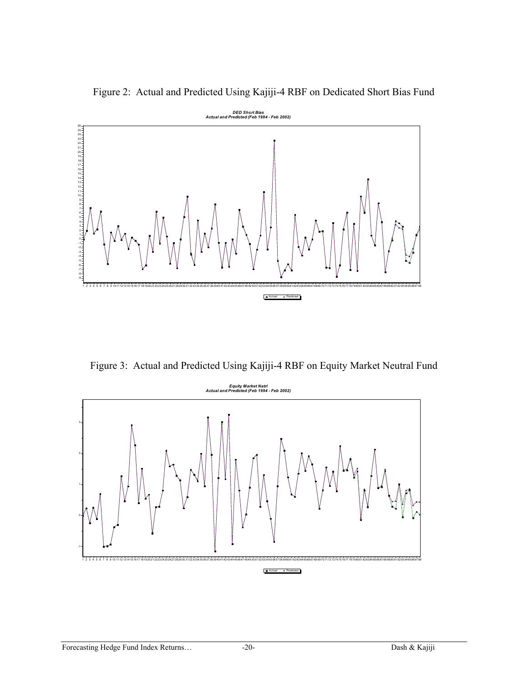Figure 2: Actual and Predicted Using Kajiji-4 RBF on Dedicated Short Bias Fund



Figure 3: Actual and Predicted Using Kajiji-4 RBF on Equity Market Neutral Fund

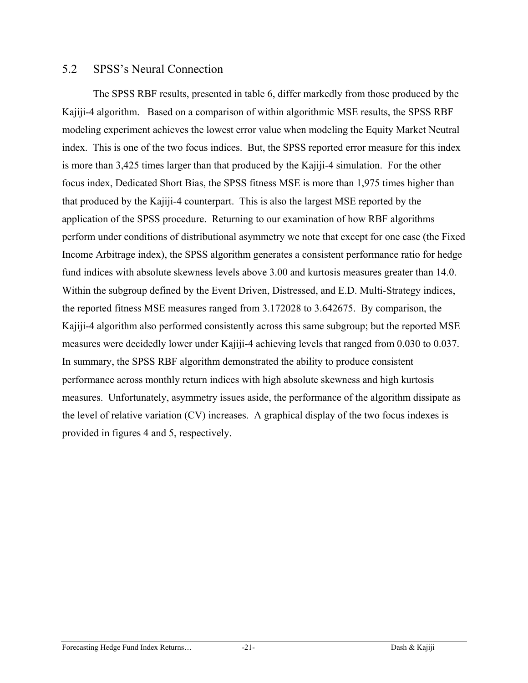#### 5.2 SPSS's Neural Connection

The SPSS RBF results, presented in table 6, differ markedly from those produced by the Kajiji-4 algorithm. Based on a comparison of within algorithmic MSE results, the SPSS RBF modeling experiment achieves the lowest error value when modeling the Equity Market Neutral index. This is one of the two focus indices. But, the SPSS reported error measure for this index is more than 3,425 times larger than that produced by the Kajiji-4 simulation. For the other focus index, Dedicated Short Bias, the SPSS fitness MSE is more than 1,975 times higher than that produced by the Kajiji-4 counterpart. This is also the largest MSE reported by the application of the SPSS procedure. Returning to our examination of how RBF algorithms perform under conditions of distributional asymmetry we note that except for one case (the Fixed Income Arbitrage index), the SPSS algorithm generates a consistent performance ratio for hedge fund indices with absolute skewness levels above 3.00 and kurtosis measures greater than 14.0. Within the subgroup defined by the Event Driven, Distressed, and E.D. Multi-Strategy indices, the reported fitness MSE measures ranged from 3.172028 to 3.642675. By comparison, the Kajiji-4 algorithm also performed consistently across this same subgroup; but the reported MSE measures were decidedly lower under Kajiji-4 achieving levels that ranged from 0.030 to 0.037. In summary, the SPSS RBF algorithm demonstrated the ability to produce consistent performance across monthly return indices with high absolute skewness and high kurtosis measures. Unfortunately, asymmetry issues aside, the performance of the algorithm dissipate as the level of relative variation (CV) increases. A graphical display of the two focus indexes is provided in figures 4 and 5, respectively.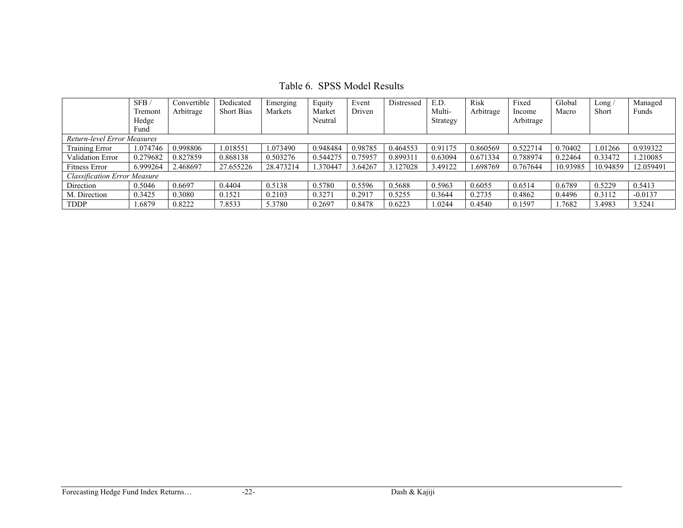Table 6. SPSS Model Results

|                                     | SFB/     | Convertible | Dedicated         | Emerging  | Equity   | Event   | Distressed | E.D.     | <b>Risk</b> | Fixed     | Global   | Long /       | Managed   |
|-------------------------------------|----------|-------------|-------------------|-----------|----------|---------|------------|----------|-------------|-----------|----------|--------------|-----------|
|                                     | Tremont  | Arbitrage   | <b>Short Bias</b> | Markets   | Market   | Driven  |            | Multi-   | Arbitrage   | Income    | Macro    | <b>Short</b> | Funds     |
|                                     | Hedge    |             |                   |           | Neutral  |         |            | Strategy |             | Arbitrage |          |              |           |
|                                     | Fund     |             |                   |           |          |         |            |          |             |           |          |              |           |
| Return-level Error Measures         |          |             |                   |           |          |         |            |          |             |           |          |              |           |
| Training Error                      | 1.074746 | 0.998806    | 1.018551          | 1.073490  | 0.948484 | 0.98785 | 0.464553   | 0.91175  | 0.860569    | 0.522714  | 0.70402  | 1.01266      | 0.939322  |
| <b>Validation Error</b>             | 0.279682 | 0.827859    | 0.868138          | 0.503276  | 0.544275 | 0.75957 | 0.899311   | 0.63094  | 0.671334    | 0.788974  | 0.22464  | 0.33472      | .210085   |
| Fitness Error                       | 6.999264 | 2.468697    | 27.655226         | 28.473214 | 1.370447 | 3.64267 | 3.127028   | 3.49122  | .698769     | 0.767644  | 10.93985 | 10.94859     | 12.059491 |
| <b>Classification Error Measure</b> |          |             |                   |           |          |         |            |          |             |           |          |              |           |
| Direction                           | 0.5046   | 0.6697      | 0.4404            | 0.5138    | 0.5780   | 0.5596  | 0.5688     | 0.5963   | 0.6055      | 0.6514    | 0.6789   | 0.5229       | 0.5413    |
| M. Direction                        | 0.3425   | 0.3080      | 0.1521            | 0.2103    | 0.3271   | 0.2917  | 0.5255     | 0.3644   | 0.2735      | 0.4862    | 0.4496   | 0.3112       | $-0.0137$ |
| <b>TDDP</b>                         | 1.6879   | 0.8222      | 7.8533            | 5.3780    | 0.2697   | 0.8478  | 0.6223     | .0244    | 0.4540      | 0.1597    | 1.7682   | 3.4983       | 3.5241    |

#### Forecasting Hedge Fund Index Returns… -22- Dash & Kajiji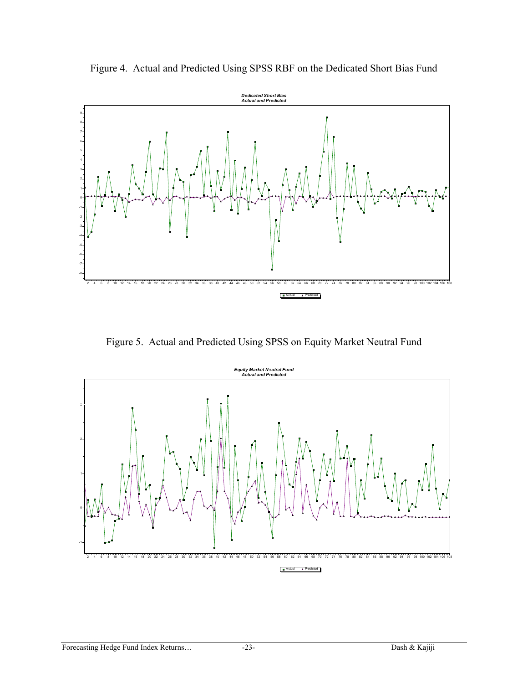

Figure 4. Actual and Predicted Using SPSS RBF on the Dedicated Short Bias Fund

Figure 5. Actual and Predicted Using SPSS on Equity Market Neutral Fund

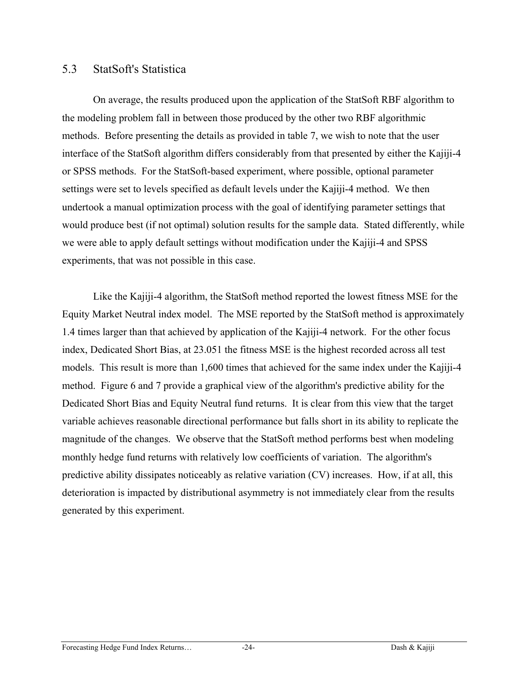#### 5.3 StatSoft's Statistica

On average, the results produced upon the application of the StatSoft RBF algorithm to the modeling problem fall in between those produced by the other two RBF algorithmic methods. Before presenting the details as provided in table 7, we wish to note that the user interface of the StatSoft algorithm differs considerably from that presented by either the Kajiji-4 or SPSS methods. For the StatSoft-based experiment, where possible, optional parameter settings were set to levels specified as default levels under the Kajiji-4 method. We then undertook a manual optimization process with the goal of identifying parameter settings that would produce best (if not optimal) solution results for the sample data. Stated differently, while we were able to apply default settings without modification under the Kajiji-4 and SPSS experiments, that was not possible in this case.

Like the Kajiji-4 algorithm, the StatSoft method reported the lowest fitness MSE for the Equity Market Neutral index model. The MSE reported by the StatSoft method is approximately 1.4 times larger than that achieved by application of the Kajiji-4 network. For the other focus index, Dedicated Short Bias, at 23.051 the fitness MSE is the highest recorded across all test models. This result is more than 1,600 times that achieved for the same index under the Kajiji-4 method. Figure 6 and 7 provide a graphical view of the algorithm's predictive ability for the Dedicated Short Bias and Equity Neutral fund returns. It is clear from this view that the target variable achieves reasonable directional performance but falls short in its ability to replicate the magnitude of the changes. We observe that the StatSoft method performs best when modeling monthly hedge fund returns with relatively low coefficients of variation. The algorithm's predictive ability dissipates noticeably as relative variation (CV) increases. How, if at all, this deterioration is impacted by distributional asymmetry is not immediately clear from the results generated by this experiment.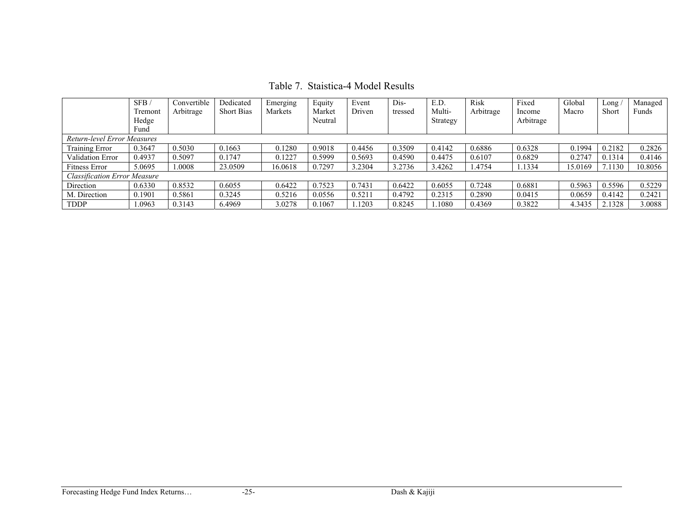Table 7. Staistica-4 Model Results

|                              | SFB/    | Convertible | Dedicated         | Emerging | Equity  | Event  | Dis-    | E.D      | <b>Risk</b> | Fixed     | Global  | Long   | Managed |
|------------------------------|---------|-------------|-------------------|----------|---------|--------|---------|----------|-------------|-----------|---------|--------|---------|
|                              | Tremont | Arbitrage   | <b>Short Bias</b> | Markets  | Market  | Driven | tressed | Multi-   | Arbitrage   | Income    | Macro   | Short  | Funds   |
|                              | Hedge   |             |                   |          | Neutral |        |         | Strategy |             | Arbitrage |         |        |         |
|                              | Fund    |             |                   |          |         |        |         |          |             |           |         |        |         |
| Return-level Error Measures  |         |             |                   |          |         |        |         |          |             |           |         |        |         |
| Training Error               | 0.3647  | 0.5030      | 0.1663            | 0.1280   | 0.9018  | 0.4456 | 0.3509  | 0.4142   | 0.6886      | 0.6328    | 0.1994  | 0.2182 | 0.2826  |
| <b>Validation Error</b>      | 0.4937  | 0.5097      | 0.1747            | 0.1227   | 0.5999  | 0.5693 | 0.4590  | 0.4475   | 0.6107      | 0.6829    | 0.2747  | 0.1314 | 0.4146  |
| Fitness Error                | 5.0695  | 1.0008      | 23.0509           | 16.0618  | 0.7297  | 3.2304 | 3.2736  | 3.4262   | 1.4754      | 1.1334    | 15.0169 | 7.1130 | 10.8056 |
| Classification Error Measure |         |             |                   |          |         |        |         |          |             |           |         |        |         |
| Direction                    | 0.6330  | 0.8532      | 0.6055            | 0.6422   | 0.7523  | 0.7431 | 0.6422  | 0.6055   | 0.7248      | 0.6881    | 0.5963  | 0.5596 | 0.5229  |
| M. Direction                 | 0.1901  | 0.5861      | 0.3245            | 0.5216   | 0.0556  | 0.5211 | 0.4792  | 0.2315   | 0.2890      | 0.0415    | 0.0659  | 0.4142 | 0.2421  |
| <b>TDDP</b>                  | .0963   | 0.3143      | 6.4969            | 3.0278   | 0.1067  | 1203   | 0.8245  | 1.1080   | 0.4369      | 0.3822    | 4.3435  | 2.1328 | 3.0088  |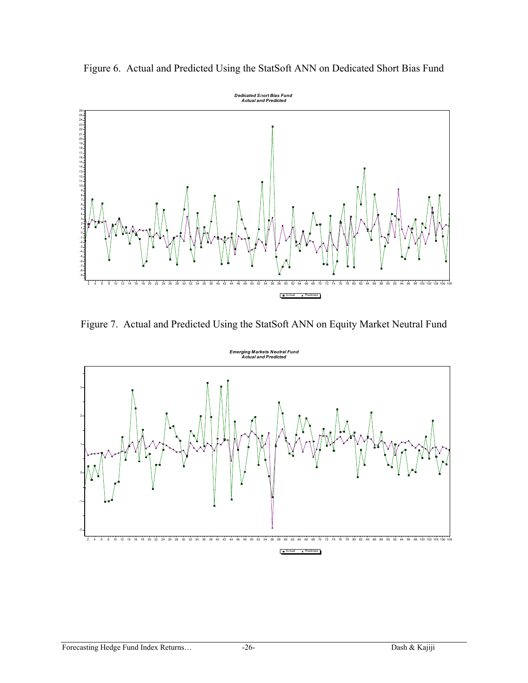

Figure 6. Actual and Predicted Using the StatSoft ANN on Dedicated Short Bias Fund

Figure 7. Actual and Predicted Using the StatSoft ANN on Equity Market Neutral Fund

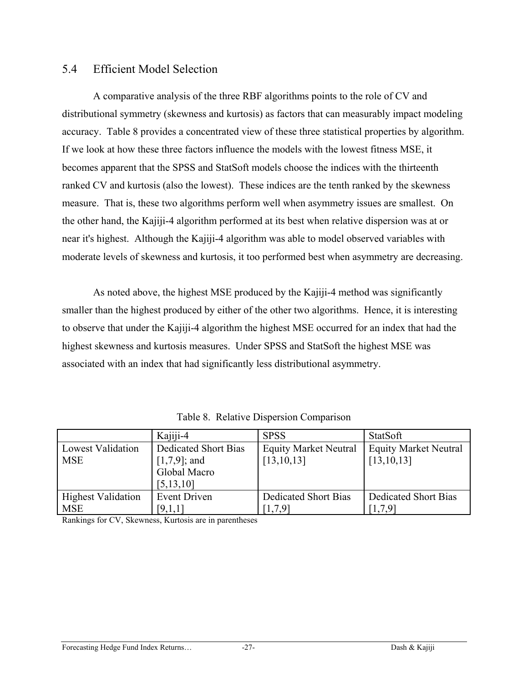### 5.4 Efficient Model Selection

A comparative analysis of the three RBF algorithms points to the role of CV and distributional symmetry (skewness and kurtosis) as factors that can measurably impact modeling accuracy. Table 8 provides a concentrated view of these three statistical properties by algorithm. If we look at how these three factors influence the models with the lowest fitness MSE, it becomes apparent that the SPSS and StatSoft models choose the indices with the thirteenth ranked CV and kurtosis (also the lowest). These indices are the tenth ranked by the skewness measure. That is, these two algorithms perform well when asymmetry issues are smallest. On the other hand, the Kajiji-4 algorithm performed at its best when relative dispersion was at or near it's highest. Although the Kajiji-4 algorithm was able to model observed variables with moderate levels of skewness and kurtosis, it too performed best when asymmetry are decreasing.

As noted above, the highest MSE produced by the Kajiji-4 method was significantly smaller than the highest produced by either of the other two algorithms. Hence, it is interesting to observe that under the Kajiji-4 algorithm the highest MSE occurred for an index that had the highest skewness and kurtosis measures. Under SPSS and StatSoft the highest MSE was associated with an index that had significantly less distributional asymmetry.

|                           | Kajiji-4             | <b>SPSS</b>                  | StatSoft                     |
|---------------------------|----------------------|------------------------------|------------------------------|
| <b>Lowest Validation</b>  | Dedicated Short Bias | <b>Equity Market Neutral</b> | <b>Equity Market Neutral</b> |
| <b>MSE</b>                | $[1,7,9]$ ; and      | [13, 10, 13]                 | [13, 10, 13]                 |
|                           | Global Macro         |                              |                              |
|                           | [5, 13, 10]          |                              |                              |
| <b>Highest Validation</b> | <b>Event Driven</b>  | Dedicated Short Bias         | Dedicated Short Bias         |
| <b>MSE</b>                | [9,1,1]              | [1,7,9]                      | [1.7.9]                      |

Table 8. Relative Dispersion Comparison

Rankings for CV, Skewness, Kurtosis are in parentheses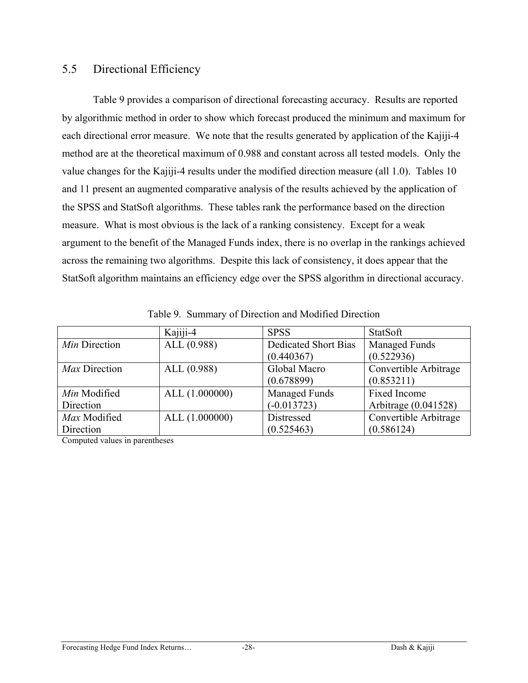### 5.5 Directional Efficiency

Table 9 provides a comparison of directional forecasting accuracy. Results are reported by algorithmic method in order to show which forecast produced the minimum and maximum for each directional error measure. We note that the results generated by application of the Kajiji-4 method are at the theoretical maximum of 0.988 and constant across all tested models. Only the value changes for the Kajiji-4 results under the modified direction measure (all 1.0). Tables 10 and 11 present an augmented comparative analysis of the results achieved by the application of the SPSS and StatSoft algorithms. These tables rank the performance based on the direction measure. What is most obvious is the lack of a ranking consistency. Except for a weak argument to the benefit of the Managed Funds index, there is no overlap in the rankings achieved across the remaining two algorithms. Despite this lack of consistency, it does appear that the StatSoft algorithm maintains an efficiency edge over the SPSS algorithm in directional accuracy.

|               | Kajiji-4       | <b>SPSS</b>                 | StatSoft              |
|---------------|----------------|-----------------------------|-----------------------|
| Min Direction | ALL (0.988)    | <b>Dedicated Short Bias</b> | <b>Managed Funds</b>  |
|               |                | (0.440367)                  | (0.522936)            |
| Max Direction | ALL(0.988)     | Global Macro                | Convertible Arbitrage |
|               |                | (0.678899)                  | (0.853211)            |
| Min Modified  | ALL (1.000000) | <b>Managed Funds</b>        | Fixed Income          |
| Direction     |                | $(-0.013723)$               | Arbitrage (0.041528)  |
| Max Modified  | ALL (1.000000) | Distressed                  | Convertible Arbitrage |
| Direction     |                | (0.525463)                  | (0.586124)            |

Table 9. Summary of Direction and Modified Direction

Computed values in parentheses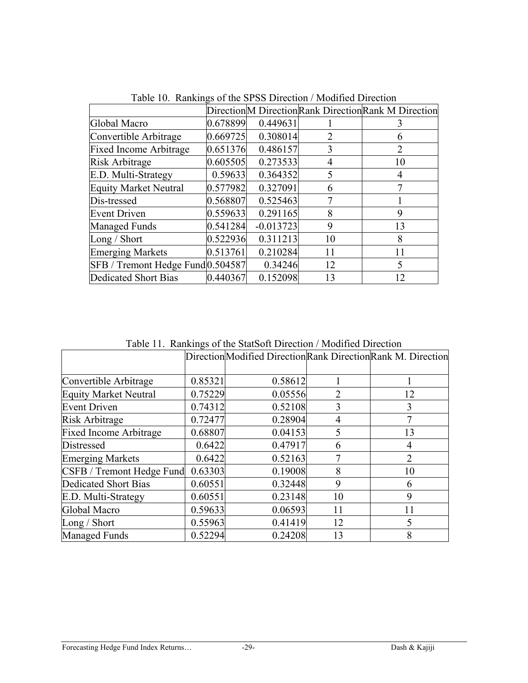|                                   |          |             |                | Direction M Direction Rank Direction Rank M Direction |
|-----------------------------------|----------|-------------|----------------|-------------------------------------------------------|
| Global Macro                      | 0.678899 | 0.449631    |                | 3                                                     |
| Convertible Arbitrage             | 0.669725 | 0.308014    | $\overline{2}$ | 6                                                     |
| <b>Fixed Income Arbitrage</b>     | 0.651376 | 0.486157    | 3              | $\overline{2}$                                        |
| Risk Arbitrage                    | 0.605505 | 0.273533    | 4              | 10                                                    |
| E.D. Multi-Strategy               | 0.59633  | 0.364352    | 5              | 4                                                     |
| <b>Equity Market Neutral</b>      | 0.577982 | 0.327091    | 6              |                                                       |
| Dis-tressed                       | 0.568807 | 0.525463    |                |                                                       |
| <b>Event Driven</b>               | 0.559633 | 0.291165    | 8              | 9                                                     |
| <b>Managed Funds</b>              | 0.541284 | $-0.013723$ | 9              | 13                                                    |
| Long / Short                      | 0.522936 | 0.311213    | 10             | 8                                                     |
| <b>Emerging Markets</b>           | 0.513761 | 0.210284    | 11             | 11                                                    |
| SFB / Tremont Hedge Fund 0.504587 |          | 0.34246     | 12             | $\varsigma$                                           |
| Dedicated Short Bias              | 0.440367 | 0.152098    | 13             | 12                                                    |

Table 10. Rankings of the SPSS Direction / Modified Direction

Table 11. Rankings of the StatSoft Direction / Modified Direction

|                               |         | Direction Modified Direction Rank Direction Rank M. Direction |    |    |
|-------------------------------|---------|---------------------------------------------------------------|----|----|
|                               |         |                                                               |    |    |
| Convertible Arbitrage         | 0.85321 | 0.58612                                                       |    |    |
| <b>Equity Market Neutral</b>  | 0.75229 | 0.05556                                                       | 2  | 12 |
| <b>Event Driven</b>           | 0.74312 | 0.52108                                                       | 3  | 3  |
| Risk Arbitrage                | 0.72477 | 0.28904                                                       | 4  |    |
| <b>Fixed Income Arbitrage</b> | 0.68807 | 0.04153                                                       |    | 13 |
| Distressed                    | 0.6422  | 0.47917                                                       | 6  | 4  |
| <b>Emerging Markets</b>       | 0.6422  | 0.52163                                                       |    | 2  |
| CSFB / Tremont Hedge Fund     | 0.63303 | 0.19008                                                       | 8  | 10 |
| Dedicated Short Bias          | 0.60551 | 0.32448                                                       | 9  | 6  |
| E.D. Multi-Strategy           | 0.60551 | 0.23148                                                       | 10 | 9  |
| Global Macro                  | 0.59633 | 0.06593                                                       | 11 |    |
| Long / Short                  | 0.55963 | 0.41419                                                       | 12 | 5  |
| <b>Managed Funds</b>          | 0.52294 | 0.24208                                                       | 13 | 8  |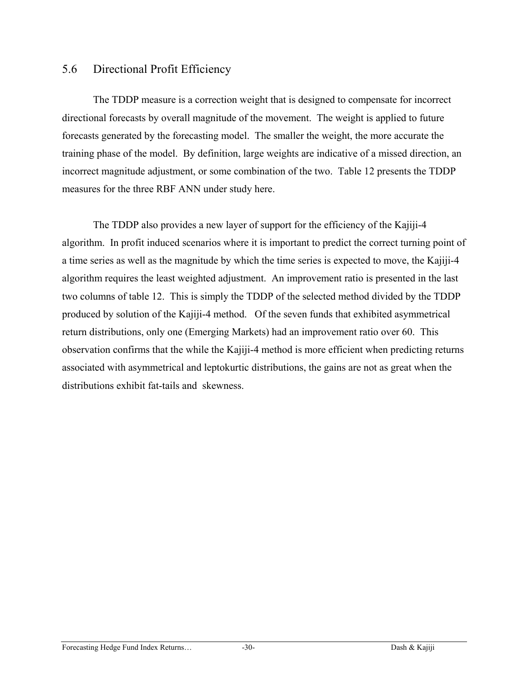#### 5.6 Directional Profit Efficiency

The TDDP measure is a correction weight that is designed to compensate for incorrect directional forecasts by overall magnitude of the movement. The weight is applied to future forecasts generated by the forecasting model. The smaller the weight, the more accurate the training phase of the model. By definition, large weights are indicative of a missed direction, an incorrect magnitude adjustment, or some combination of the two. Table 12 presents the TDDP measures for the three RBF ANN under study here.

The TDDP also provides a new layer of support for the efficiency of the Kajiji-4 algorithm. In profit induced scenarios where it is important to predict the correct turning point of a time series as well as the magnitude by which the time series is expected to move, the Kajiji-4 algorithm requires the least weighted adjustment. An improvement ratio is presented in the last two columns of table 12. This is simply the TDDP of the selected method divided by the TDDP produced by solution of the Kajiji-4 method. Of the seven funds that exhibited asymmetrical return distributions, only one (Emerging Markets) had an improvement ratio over 60. This observation confirms that the while the Kajiji-4 method is more efficient when predicting returns associated with asymmetrical and leptokurtic distributions, the gains are not as great when the distributions exhibit fat-tails and skewness.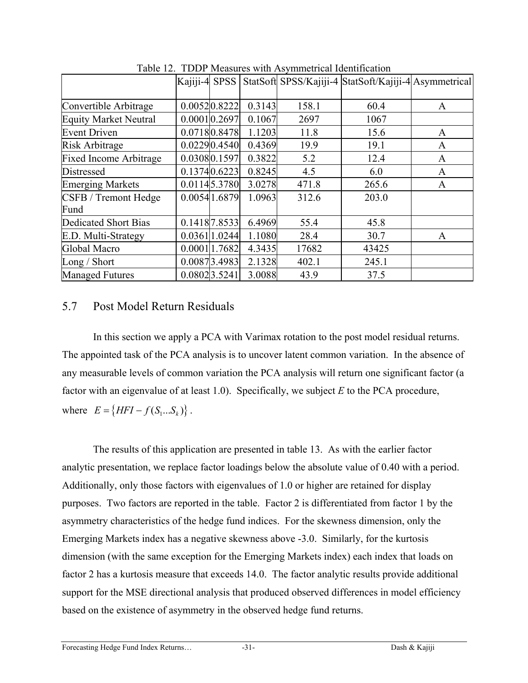|                               | Kajiji-4 SPSS |               |        |       | StatSoft SPSS/Kajiji-4 StatSoft/Kajiji-4 Asymmetrical |   |
|-------------------------------|---------------|---------------|--------|-------|-------------------------------------------------------|---|
| Convertible Arbitrage         |               | 0.00520.8222  | 0.3143 | 158.1 | 60.4                                                  | A |
| <b>Equity Market Neutral</b>  |               | 0.00010.2697  | 0.1067 | 2697  | 1067                                                  |   |
| <b>Event Driven</b>           |               | 0.07180.8478  | 1.1203 | 11.8  | 15.6                                                  | A |
| Risk Arbitrage                |               | 0.02290.4540  | 0.4369 | 19.9  | 19.1                                                  | A |
| <b>Fixed Income Arbitrage</b> |               | 0.03080.1597  | 0.3822 | 5.2   | 12.4                                                  | A |
| Distressed                    |               | 0.13740.6223  | 0.8245 | 4.5   | 6.0                                                   | A |
| <b>Emerging Markets</b>       |               | 0.01145.3780  | 3.0278 | 471.8 | 265.6                                                 | A |
| <b>CSFB</b> / Tremont Hedge   |               | 0.00541.6879  | 1.0963 | 312.6 | 203.0                                                 |   |
| Fund                          |               |               |        |       |                                                       |   |
| Dedicated Short Bias          |               | 0.1418 7.8533 | 6.4969 | 55.4  | 45.8                                                  |   |
| E.D. Multi-Strategy           |               | 0.03611.0244  | 1.1080 | 28.4  | 30.7                                                  | A |
| Global Macro                  |               | 0.00011.7682  | 4.3435 | 17682 | 43425                                                 |   |
| Long / Short                  |               | 0.00873.4983  | 2.1328 | 402.1 | 245.1                                                 |   |
| <b>Managed Futures</b>        |               | 0.08023.5241  | 3.0088 | 43.9  | 37.5                                                  |   |

Table 12. TDDP Measures with Asymmetrical Identification

### 5.7 Post Model Return Residuals

In this section we apply a PCA with Varimax rotation to the post model residual returns. The appointed task of the PCA analysis is to uncover latent common variation. In the absence of any measurable levels of common variation the PCA analysis will return one significant factor (a factor with an eigenvalue of at least 1.0). Specifically, we subject *E* to the PCA procedure, where  $E = \{ HFI - f(S_1...S_k) \}$ .

The results of this application are presented in table 13. As with the earlier factor analytic presentation, we replace factor loadings below the absolute value of 0.40 with a period. Additionally, only those factors with eigenvalues of 1.0 or higher are retained for display purposes. Two factors are reported in the table. Factor 2 is differentiated from factor 1 by the asymmetry characteristics of the hedge fund indices. For the skewness dimension, only the Emerging Markets index has a negative skewness above -3.0. Similarly, for the kurtosis dimension (with the same exception for the Emerging Markets index) each index that loads on factor 2 has a kurtosis measure that exceeds 14.0. The factor analytic results provide additional support for the MSE directional analysis that produced observed differences in model efficiency based on the existence of asymmetry in the observed hedge fund returns.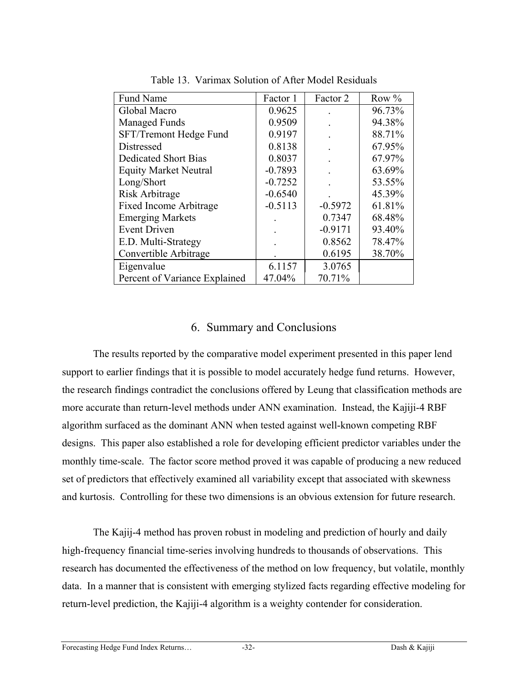| Fund Name                     | Factor 1  | Factor 2  | Row $%$ |
|-------------------------------|-----------|-----------|---------|
| Global Macro                  | 0.9625    |           | 96.73%  |
| <b>Managed Funds</b>          | 0.9509    |           | 94.38%  |
| SFT/Tremont Hedge Fund        | 0.9197    |           | 88.71%  |
| Distressed                    | 0.8138    |           | 67.95%  |
| <b>Dedicated Short Bias</b>   | 0.8037    |           | 67.97%  |
| <b>Equity Market Neutral</b>  | $-0.7893$ |           | 63.69%  |
| Long/Short                    | $-0.7252$ |           | 53.55%  |
| Risk Arbitrage                | $-0.6540$ |           | 45.39%  |
| <b>Fixed Income Arbitrage</b> | $-0.5113$ | $-0.5972$ | 61.81%  |
| <b>Emerging Markets</b>       |           | 0.7347    | 68.48%  |
| <b>Event Driven</b>           |           | $-0.9171$ | 93.40%  |
| E.D. Multi-Strategy           |           | 0.8562    | 78.47%  |
| Convertible Arbitrage         |           | 0.6195    | 38.70%  |
| Eigenvalue                    | 6.1157    | 3.0765    |         |
| Percent of Variance Explained | 47.04%    | 70.71%    |         |

Table 13. Varimax Solution of After Model Residuals

#### 6. Summary and Conclusions

The results reported by the comparative model experiment presented in this paper lend support to earlier findings that it is possible to model accurately hedge fund returns. However, the research findings contradict the conclusions offered by Leung that classification methods are more accurate than return-level methods under ANN examination. Instead, the Kajiji-4 RBF algorithm surfaced as the dominant ANN when tested against well-known competing RBF designs. This paper also established a role for developing efficient predictor variables under the monthly time-scale. The factor score method proved it was capable of producing a new reduced set of predictors that effectively examined all variability except that associated with skewness and kurtosis. Controlling for these two dimensions is an obvious extension for future research.

The Kajij-4 method has proven robust in modeling and prediction of hourly and daily high-frequency financial time-series involving hundreds to thousands of observations. This research has documented the effectiveness of the method on low frequency, but volatile, monthly data. In a manner that is consistent with emerging stylized facts regarding effective modeling for return-level prediction, the Kajiji-4 algorithm is a weighty contender for consideration.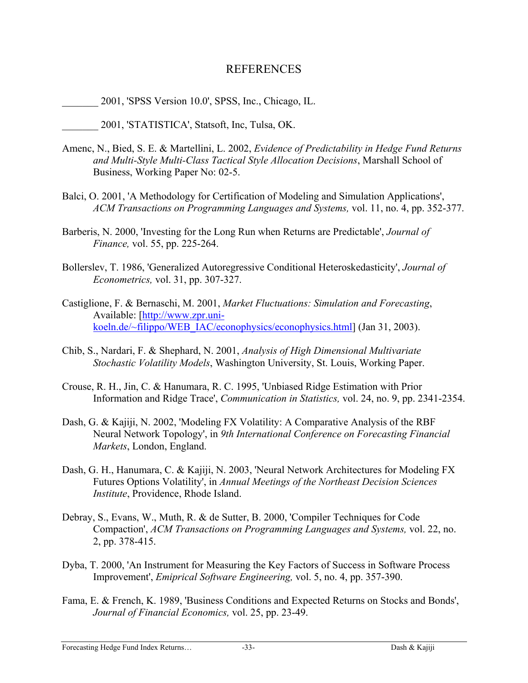#### REFERENCES

\_\_\_\_\_\_\_ 2001, 'SPSS Version 10.0', SPSS, Inc., Chicago, IL.

\_\_\_\_\_\_\_ 2001, 'STATISTICA', Statsoft, Inc, Tulsa, OK.

- Amenc, N., Bied, S. E. & Martellini, L. 2002, *Evidence of Predictability in Hedge Fund Returns and Multi-Style Multi-Class Tactical Style Allocation Decisions*, Marshall School of Business, Working Paper No: 02-5.
- Balci, O. 2001, 'A Methodology for Certification of Modeling and Simulation Applications', *ACM Transactions on Programming Languages and Systems,* vol. 11, no. 4, pp. 352-377.
- Barberis, N. 2000, 'Investing for the Long Run when Returns are Predictable', *Journal of Finance,* vol. 55, pp. 225-264.
- Bollerslev, T. 1986, 'Generalized Autoregressive Conditional Heteroskedasticity', *Journal of Econometrics,* vol. 31, pp. 307-327.
- Castiglione, F. & Bernaschi, M. 2001, *Market Fluctuations: Simulation and Forecasting*, Available: [\[http://www.zpr.uni](http://www.zpr.uni-koeln.de/~filippo/WEB_IAC/econophysics/econophysics.html)[koeln.de/~filippo/WEB\\_IAC/econophysics/econophysics.html\]](http://www.zpr.uni-koeln.de/~filippo/WEB_IAC/econophysics/econophysics.html) (Jan 31, 2003).
- Chib, S., Nardari, F. & Shephard, N. 2001, *Analysis of High Dimensional Multivariate Stochastic Volatility Models*, Washington University, St. Louis, Working Paper.
- Crouse, R. H., Jin, C. & Hanumara, R. C. 1995, 'Unbiased Ridge Estimation with Prior Information and Ridge Trace', *Communication in Statistics,* vol. 24, no. 9, pp. 2341-2354.
- Dash, G. & Kajiji, N. 2002, 'Modeling FX Volatility: A Comparative Analysis of the RBF Neural Network Topology', in *9th International Conference on Forecasting Financial Markets*, London, England.
- Dash, G. H., Hanumara, C. & Kajiji, N. 2003, 'Neural Network Architectures for Modeling FX Futures Options Volatility', in *Annual Meetings of the Northeast Decision Sciences Institute*, Providence, Rhode Island.
- Debray, S., Evans, W., Muth, R. & de Sutter, B. 2000, 'Compiler Techniques for Code Compaction', *ACM Transactions on Programming Languages and Systems,* vol. 22, no. 2, pp. 378-415.
- Dyba, T. 2000, 'An Instrument for Measuring the Key Factors of Success in Software Process Improvement', *Emiprical Software Engineering,* vol. 5, no. 4, pp. 357-390.
- Fama, E. & French, K. 1989, 'Business Conditions and Expected Returns on Stocks and Bonds', *Journal of Financial Economics,* vol. 25, pp. 23-49.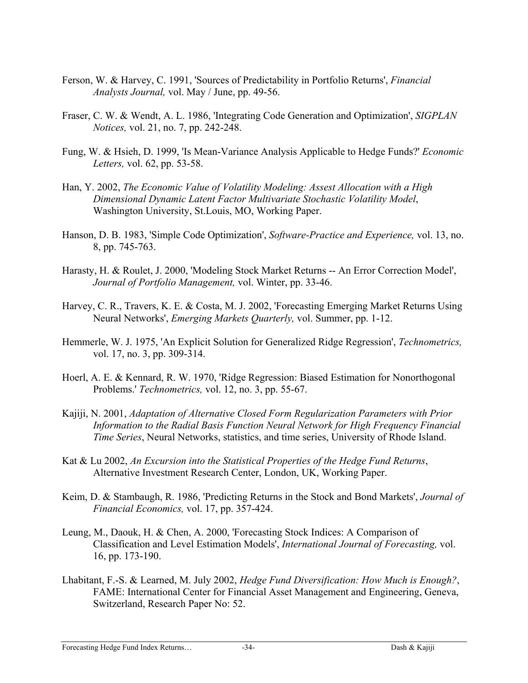- Ferson, W. & Harvey, C. 1991, 'Sources of Predictability in Portfolio Returns', *Financial Analysts Journal,* vol. May / June, pp. 49-56.
- Fraser, C. W. & Wendt, A. L. 1986, 'Integrating Code Generation and Optimization', *SIGPLAN Notices,* vol. 21, no. 7, pp. 242-248.
- Fung, W. & Hsieh, D. 1999, 'Is Mean-Variance Analysis Applicable to Hedge Funds?' *Economic Letters,* vol. 62, pp. 53-58.
- Han, Y. 2002, *The Economic Value of Volatility Modeling: Assest Allocation with a High Dimensional Dynamic Latent Factor Multivariate Stochastic Volatility Model*, Washington University, St.Louis, MO, Working Paper.
- Hanson, D. B. 1983, 'Simple Code Optimization', *Software-Practice and Experience,* vol. 13, no. 8, pp. 745-763.
- Harasty, H. & Roulet, J. 2000, 'Modeling Stock Market Returns -- An Error Correction Model', *Journal of Portfolio Management,* vol. Winter, pp. 33-46.
- Harvey, C. R., Travers, K. E. & Costa, M. J. 2002, 'Forecasting Emerging Market Returns Using Neural Networks', *Emerging Markets Quarterly,* vol. Summer, pp. 1-12.
- Hemmerle, W. J. 1975, 'An Explicit Solution for Generalized Ridge Regression', *Technometrics,* vol. 17, no. 3, pp. 309-314.
- Hoerl, A. E. & Kennard, R. W. 1970, 'Ridge Regression: Biased Estimation for Nonorthogonal Problems.' *Technometrics,* vol. 12, no. 3, pp. 55-67.
- Kajiji, N. 2001, *Adaptation of Alternative Closed Form Regularization Parameters with Prior Information to the Radial Basis Function Neural Network for High Frequency Financial Time Series*, Neural Networks, statistics, and time series, University of Rhode Island.
- Kat & Lu 2002, *An Excursion into the Statistical Properties of the Hedge Fund Returns*, Alternative Investment Research Center, London, UK, Working Paper.
- Keim, D. & Stambaugh, R. 1986, 'Predicting Returns in the Stock and Bond Markets', *Journal of Financial Economics,* vol. 17, pp. 357-424.
- Leung, M., Daouk, H. & Chen, A. 2000, 'Forecasting Stock Indices: A Comparison of Classification and Level Estimation Models', *International Journal of Forecasting,* vol. 16, pp. 173-190.
- Lhabitant, F.-S. & Learned, M. July 2002, *Hedge Fund Diversification: How Much is Enough?*, FAME: International Center for Financial Asset Management and Engineering, Geneva, Switzerland, Research Paper No: 52.